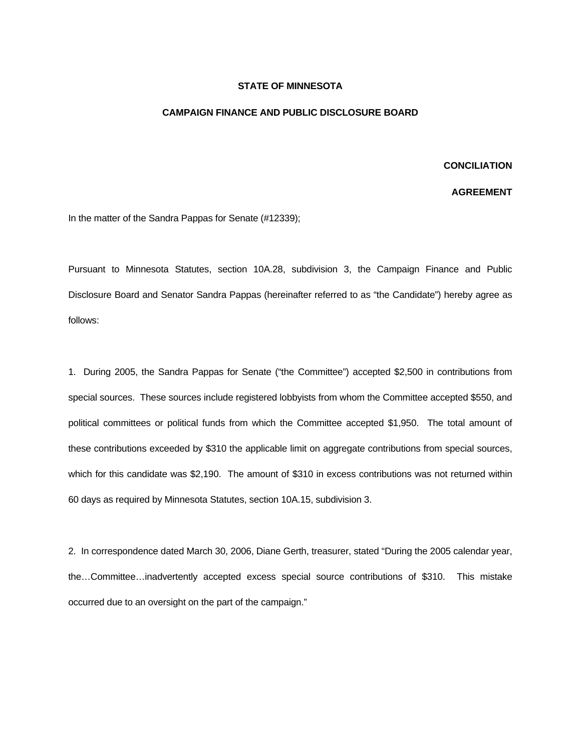## **STATE OF MINNESOTA**

## **CAMPAIGN FINANCE AND PUBLIC DISCLOSURE BOARD**

## **CONCILIATION**

## **AGREEMENT**

In the matter of the Sandra Pappas for Senate (#12339);

Pursuant to Minnesota Statutes, section 10A.28, subdivision 3, the Campaign Finance and Public Disclosure Board and Senator Sandra Pappas (hereinafter referred to as "the Candidate") hereby agree as follows:

1. During 2005, the Sandra Pappas for Senate ("the Committee") accepted \$2,500 in contributions from special sources. These sources include registered lobbyists from whom the Committee accepted \$550, and political committees or political funds from which the Committee accepted \$1,950. The total amount of these contributions exceeded by \$310 the applicable limit on aggregate contributions from special sources, which for this candidate was \$2,190. The amount of \$310 in excess contributions was not returned within 60 days as required by Minnesota Statutes, section 10A.15, subdivision 3.

2. In correspondence dated March 30, 2006, Diane Gerth, treasurer, stated "During the 2005 calendar year, the…Committee…inadvertently accepted excess special source contributions of \$310. This mistake occurred due to an oversight on the part of the campaign."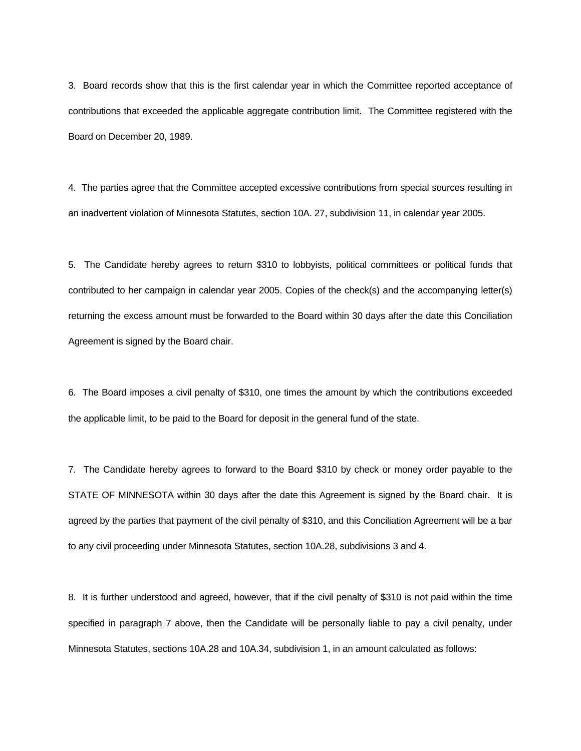3. Board records show that this is the first calendar year in which the Committee reported acceptance of contributions that exceeded the applicable aggregate contribution limit. The Committee registered with the Board on December 20, 1989.

4. The parties agree that the Committee accepted excessive contributions from special sources resulting in an inadvertent violation of Minnesota Statutes, section 10A. 27, subdivision 11, in calendar year 2005.

5. The Candidate hereby agrees to return \$310 to lobbyists, political committees or political funds that contributed to her campaign in calendar year 2005. Copies of the check(s) and the accompanying letter(s) returning the excess amount must be forwarded to the Board within 30 days after the date this Conciliation Agreement is signed by the Board chair.

6. The Board imposes a civil penalty of \$310, one times the amount by which the contributions exceeded the applicable limit, to be paid to the Board for deposit in the general fund of the state.

7. The Candidate hereby agrees to forward to the Board \$310 by check or money order payable to the STATE OF MINNESOTA within 30 days after the date this Agreement is signed by the Board chair. It is agreed by the parties that payment of the civil penalty of \$310, and this Conciliation Agreement will be a bar to any civil proceeding under Minnesota Statutes, section 10A.28, subdivisions 3 and 4.

8. It is further understood and agreed, however, that if the civil penalty of \$310 is not paid within the time specified in paragraph 7 above, then the Candidate will be personally liable to pay a civil penalty, under Minnesota Statutes, sections 10A.28 and 10A.34, subdivision 1, in an amount calculated as follows: